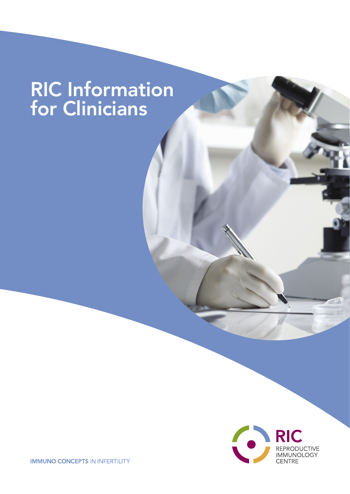# RIC Information for Clinicians



**IMMUNO CONCEPTS IN INFERTILITY**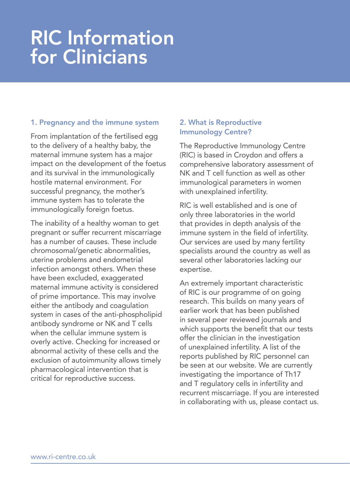# RIC Information for Clinicians

## 1. Pregnancy and the immune system

From implantation of the fertilised egg to the delivery of a healthy baby, the maternal immune system has a major impact on the development of the foetus and its survival in the immunologically hostile maternal environment. For successful pregnancy, the mother's immune system has to tolerate the immunologically foreign foetus.

The inability of a healthy woman to get pregnant or suffer recurrent miscarriage has a number of causes. These include chromosomal/genetic abnormalities, uterine problems and endometrial infection amongst others. When these have been excluded, exaggerated maternal immune activity is considered of prime importance. This may involve either the antibody and coagulation system in cases of the anti-phospholipid antibody syndrome or NK and T cells when the cellular immune system is overly active. Checking for increased or abnormal activity of these cells and the exclusion of autoimmunity allows timely pharmacological intervention that is critical for reproductive success.

## 2. What is Reproductive Immunology Centre?

The Reproductive Immunology Centre (RIC) is based in Croydon and offers a comprehensive laboratory assessment of NK and T cell function as well as other immunological parameters in women with unexplained infertility.

RIC is well established and is one of only three laboratories in the world that provides in depth analysis of the immune system in the field of infertility. Our services are used by many fertility specialists around the country as well as several other laboratories lacking our expertise.

An extremely important characteristic of RIC is our programme of on going research. This builds on many years of earlier work that has been published in several peer reviewed journals and which supports the benefit that our tests offer the clinician in the investigation of unexplained infertility. A list of the reports published by RIC personnel can be seen at our website. We are currently investigating the importance of Th17 and T regulatory cells in infertility and recurrent miscarriage. If you are interested in collaborating with us, please contact us.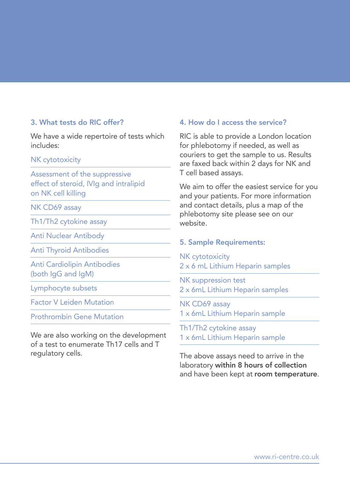# 3. What tests do RIC offer?

We have a wide repertoire of tests which includes:

#### NK cytotoxicity

Assessment of the suppressive effect of steroid, IVIg and intralipid on NK cell killing

NK CD69 assay

Th1/Th2 cytokine assay

Anti Nuclear Antibody

Anti Thyroid Antibodies

Anti Cardiolipin Antibodies (both IgG and IgM)

Lymphocyte subsets

Factor V Leiden Mutation

Prothrombin Gene Mutation

We are also working on the development of a test to enumerate Th17 cells and T regulatory cells.

### 4. How do I access the service?

RIC is able to provide a London location for phlebotomy if needed, as well as couriers to get the sample to us. Results are faxed back within 2 days for NK and T cell based assays.

We aim to offer the easiest service for you and your patients. For more information and contact details, plus a map of the phlebotomy site please see on our website.

#### 5. Sample Requirements:

NK cytotoxicity 2 x 6 mL Lithium Heparin samples

NK suppression test 2 x 6mL Lithium Heparin samples

NK CD69 assay 1 x 6mL Lithium Heparin sample

Th1/Th2 cytokine assay 1 x 6mL Lithium Heparin sample

The above assays need to arrive in the laboratory within 8 hours of collection and have been kept at room temperature.